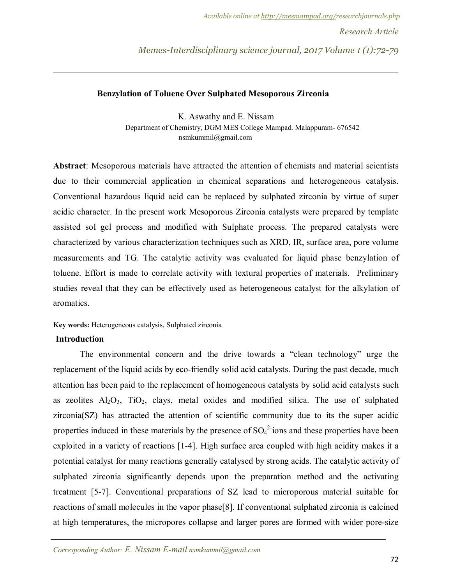## **Benzylation of Toluene Over Sulphated Mesoporous Zirconia**

K. Aswathy and E. Nissam Department of Chemistry, DGM MES College Mampad. Malappuram- 676542 nsmkummil@gmail.com

**Abstract**: Mesoporous materials have attracted the attention of chemists and material scientists due to their commercial application in chemical separations and heterogeneous catalysis. Conventional hazardous liquid acid can be replaced by sulphated zirconia by virtue of super acidic character. In the present work Mesoporous Zirconia catalysts were prepared by template assisted sol gel process and modified with Sulphate process. The prepared catalysts were characterized by various characterization techniques such as XRD, IR, surface area, pore volume measurements and TG. The catalytic activity was evaluated for liquid phase benzylation of toluene. Effort is made to correlate activity with textural properties of materials. Preliminary studies reveal that they can be effectively used as heterogeneous catalyst for the alkylation of aromatics.

## **Key words:** Heterogeneous catalysis, Sulphated zirconia

#### **Introduction**

The environmental concern and the drive towards a "clean technology" urge the replacement of the liquid acids by eco-friendly solid acid catalysts. During the past decade, much attention has been paid to the replacement of homogeneous catalysts by solid acid catalysts such as zeolites  $A_1Q_3$ ,  $TiO_2$ , clays, metal oxides and modified silica. The use of sulphated zirconia(SZ) has attracted the attention of scientific community due to its the super acidic properties induced in these materials by the presence of  $SO_4^2$ -ions and these properties have been exploited in a variety of reactions [1-4]. High surface area coupled with high acidity makes it a potential catalyst for many reactions generally catalysed by strong acids. The catalytic activity of sulphated zirconia significantly depends upon the preparation method and the activating treatment [5-7]. Conventional preparations of SZ lead to microporous material suitable for reactions of small molecules in the vapor phase[8]. If conventional sulphated zirconia is calcined at high temperatures, the micropores collapse and larger pores are formed with wider pore-size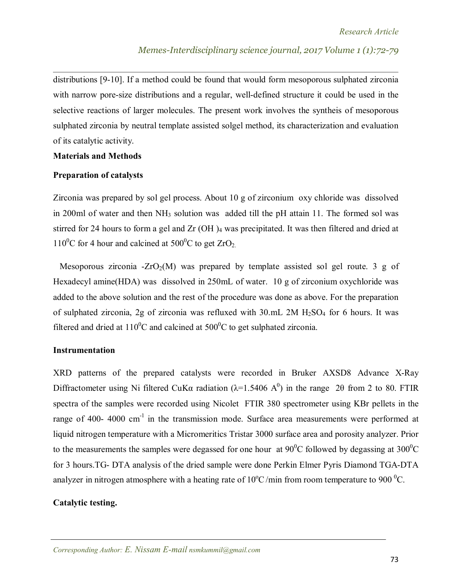distributions [9-10]. If a method could be found that would form mesoporous sulphated zirconia with narrow pore-size distributions and a regular, well-defined structure it could be used in the selective reactions of larger molecules. The present work involves the syntheis of mesoporous sulphated zirconia by neutral template assisted solgel method, its characterization and evaluation of its catalytic activity.

## **Materials and Methods**

## **Preparation of catalysts**

Zirconia was prepared by sol gel process. About 10 g of zirconium oxy chloride was dissolved in 200ml of water and then NH<sub>3</sub> solution was added till the pH attain 11. The formed sol was stirred for 24 hours to form a gel and Zr (OH)<sub>4</sub> was precipitated. It was then filtered and dried at  $110^0C$  for 4 hour and calcined at  $500^0C$  to get  $ZrO_2$ .

Mesoporous zirconia -ZrO<sub>2</sub>(M) was prepared by template assisted sol gel route. 3 g of Hexadecyl amine(HDA) was dissolved in 250mL of water. 10 g of zirconium oxychloride was added to the above solution and the rest of the procedure was done as above. For the preparation of sulphated zirconia, 2g of zirconia was refluxed with  $30 \text{.mL}$  2M  $H_2SO_4$  for 6 hours. It was filtered and dried at  $110^0$ C and calcined at  $500^0$ C to get sulphated zirconia.

## **Instrumentation**

XRD patterns of the prepared catalysts were recorded in Bruker AXSD8 Advance X-Ray Diffractometer using Ni filtered CuK $\alpha$  radiation ( $\lambda$ =1.5406 A<sup>0</sup>) in the range 20 from 2 to 80. FTIR spectra of the samples were recorded using Nicolet FTIR 380 spectrometer using KBr pellets in the range of 400- 4000 cm<sup>-1</sup> in the transmission mode. Surface area measurements were performed at liquid nitrogen temperature with a Micromeritics Tristar 3000 surface area and porosity analyzer. Prior to the measurements the samples were degassed for one hour at  $90^0C$  followed by degassing at  $300^0C$ for 3 hours.TG- DTA analysis of the dried sample were done Perkin Elmer Pyris Diamond TGA-DTA analyzer in nitrogen atmosphere with a heating rate of  $10^{\circ}$ C/min from room temperature to 900  $^{\circ}$ C.

## **Catalytic testing.**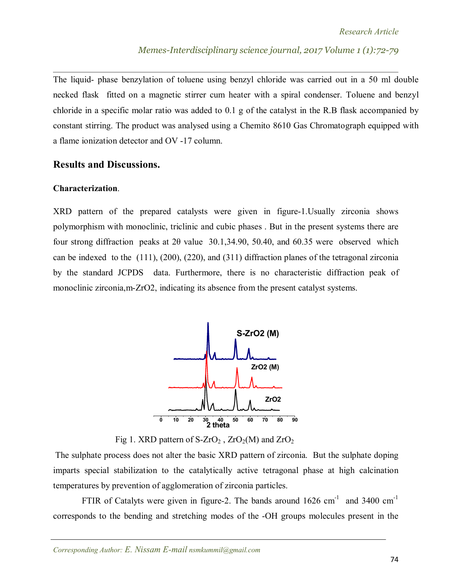The liquid- phase benzylation of toluene using benzyl chloride was carried out in a 50 ml double necked flask fitted on a magnetic stirrer cum heater with a spiral condenser. Toluene and benzyl chloride in a specific molar ratio was added to 0.1 g of the catalyst in the R.B flask accompanied by constant stirring. The product was analysed using a Chemito 8610 Gas Chromatograph equipped with a flame ionization detector and OV -17 column.

# **Results and Discussions.**

## **Characterization**.

XRD pattern of the prepared catalysts were given in figure-1.Usually zirconia shows polymorphism with monoclinic, triclinic and cubic phases . But in the present systems there are four strong diffraction peaks at 2θ value 30.1,34.90, 50.40, and 60.35 were observed which can be indexed to the (111), (200), (220), and (311) diffraction planes of the tetragonal zirconia by the standard JCPDS data. Furthermore, there is no characteristic diffraction peak of monoclinic zirconia,m-ZrO2, indicating its absence from the present catalyst systems.



Fig 1. XRD pattern of  $S-ZrO_2$ ,  $ZrO_2(M)$  and  $ZrO_2$ 

The sulphate process does not alter the basic XRD pattern of zirconia. But the sulphate doping imparts special stabilization to the catalytically active tetragonal phase at high calcination temperatures by prevention of agglomeration of zirconia particles.

FTIR of Catalyts were given in figure-2. The bands around  $1626 \text{ cm}^{-1}$  and  $3400 \text{ cm}^{-1}$ corresponds to the bending and stretching modes of the -OH groups molecules present in the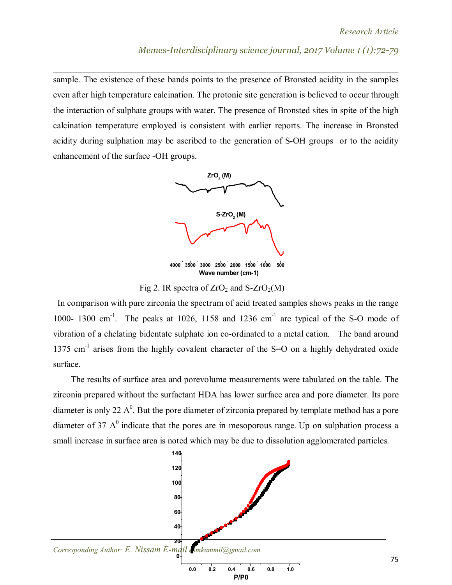sample. The existence of these bands points to the presence of Bronsted acidity in the samples even after high temperature calcination. The protonic site generation is believed to occur through the interaction of sulphate groups with water. The presence of Bronsted sites in spite of the high calcination temperature employed is consistent with earlier reports. The increase in Bronsted acidity during sulphation may be ascribed to the generation of S-OH groups or to the acidity enhancement of the surface -OH groups.



Fig 2. IR spectra of  $ZrO<sub>2</sub>$  and S- $ZrO<sub>2</sub>(M)$ 

 In comparison with pure zirconia the spectrum of acid treated samples shows peaks in the range 1000- 1300 cm<sup>-1</sup>. The peaks at 1026, 1158 and 1236 cm<sup>-1</sup> are typical of the S-O mode of vibration of a chelating bidentate sulphate ion co-ordinated to a metal cation. The band around 1375 cm<sup>-1</sup> arises from the highly covalent character of the S=O on a highly dehydrated oxide surface.

 The results of surface area and porevolume measurements were tabulated on the table. The zirconia prepared without the surfactant HDA has lower surface area and pore diameter. Its pore diameter is only 22  $A^0$ . But the pore diameter of zirconia prepared by template method has a pore diameter of 37  $A<sup>0</sup>$  indicate that the pores are in mesoporous range. Up on sulphation process a small increase in surface area is noted which may be due to dissolution agglomerated particles.

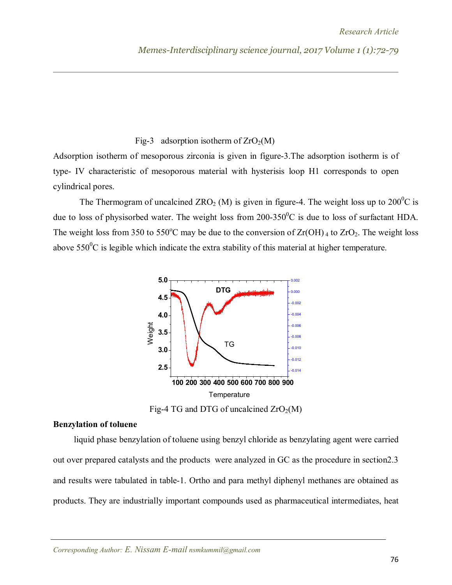# Fig-3 adsorption isotherm of  $ZrO_2(M)$

Adsorption isotherm of mesoporous zirconia is given in figure-3.The adsorption isotherm is of type- IV characteristic of mesoporous material with hysterisis loop H1 corresponds to open cylindrical pores.

The Thermogram of uncalcined ZRO<sub>2</sub> (M) is given in figure-4. The weight loss up to  $200^{\circ}$ C is due to loss of physisorbed water. The weight loss from  $200-350^{\circ}$ C is due to loss of surfactant HDA. The weight loss from 350 to 550°C may be due to the conversion of  $Zr(OH)$  to  $ZrO_2$ . The weight loss above  $550^{\circ}$ C is legible which indicate the extra stability of this material at higher temperature.



Fig-4 TG and DTG of uncalcined  $ZrO_2(M)$ 

## **Benzylation of toluene**

liquid phase benzylation of toluene using benzyl chloride as benzylating agent were carried out over prepared catalysts and the products were analyzed in GC as the procedure in section2.3 and results were tabulated in table-1. Ortho and para methyl diphenyl methanes are obtained as products. They are industrially important compounds used as pharmaceutical intermediates, heat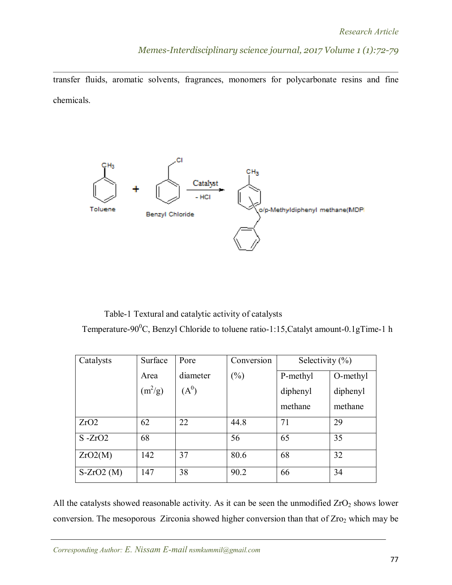transfer fluids, aromatic solvents, fragrances, monomers for polycarbonate resins and fine chemicals.



Table-1 Textural and catalytic activity of catalysts

Temperature-90<sup>0</sup>C, Benzyl Chloride to toluene ratio-1:15, Catalyt amount-0.1gTime-1 h

| Catalysts   | Surface   | Pore     | Conversion | Selectivity $(\% )$ |          |
|-------------|-----------|----------|------------|---------------------|----------|
|             | Area      | diameter | $(\%)$     | P-methyl            | O-methyl |
|             | $(m^2/g)$ | $(A^0)$  |            | diphenyl            | diphenyl |
|             |           |          |            | methane             | methane  |
| ZrO2        | 62        | 22       | 44.8       | 71                  | 29       |
| $S - ZrO2$  | 68        |          | 56         | 65                  | 35       |
| ZrO2(M)     | 142       | 37       | 80.6       | 68                  | 32       |
| $S-ZrO2(M)$ | 147       | 38       | 90.2       | 66                  | 34       |

All the catalysts showed reasonable activity. As it can be seen the unmodified  $ZrO<sub>2</sub>$  shows lower conversion. The mesoporous Zirconia showed higher conversion than that of Zro<sub>2</sub> which may be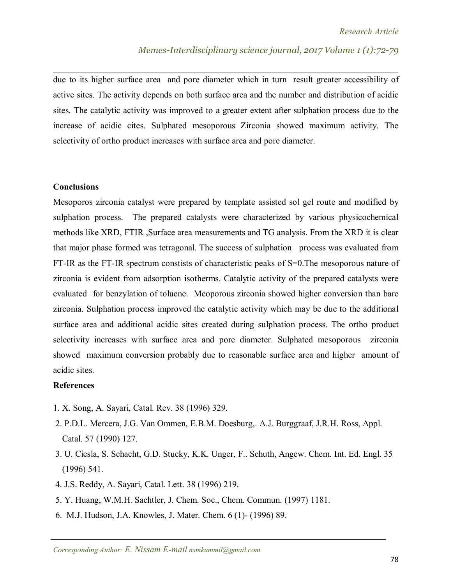due to its higher surface area and pore diameter which in turn result greater accessibility of active sites. The activity depends on both surface area and the number and distribution of acidic sites. The catalytic activity was improved to a greater extent after sulphation process due to the increase of acidic cites. Sulphated mesoporous Zirconia showed maximum activity. The selectivity of ortho product increases with surface area and pore diameter.

### **Conclusions**

Mesoporos zirconia catalyst were prepared by template assisted sol gel route and modified by sulphation process. The prepared catalysts were characterized by various physicochemical methods like XRD, FTIR ,Surface area measurements and TG analysis. From the XRD it is clear that major phase formed was tetragonal. The success of sulphation process was evaluated from FT-IR as the FT-IR spectrum constists of characteristic peaks of S=0.The mesoporous nature of zirconia is evident from adsorption isotherms. Catalytic activity of the prepared catalysts were evaluated for benzylation of toluene. Meoporous zirconia showed higher conversion than bare zirconia. Sulphation process improved the catalytic activity which may be due to the additional surface area and additional acidic sites created during sulphation process. The ortho product selectivity increases with surface area and pore diameter. Sulphated mesoporous zirconia showed maximum conversion probably due to reasonable surface area and higher amount of acidic sites.

## **References**

- 1. X. Song, A. Sayari, Catal. Rev. 38 (1996) 329.
- 2. P.D.L. Mercera, J.G. Van Ommen, E.B.M. Doesburg,. A.J. Burggraaf, J.R.H. Ross, Appl. Catal. 57 (1990) 127.
- 3. U. Ciesla, S. Schacht, G.D. Stucky, K.K. Unger, F.. Schuth, Angew. Chem. Int. Ed. Engl. 35 (1996) 541.
- 4. J.S. Reddy, A. Sayari, Catal. Lett. 38 (1996) 219.
- 5. Y. Huang, W.M.H. Sachtler, J. Chem. Soc., Chem. Commun. (1997) 1181.
- 6. M.J. Hudson, J.A. Knowles, J. Mater. Chem. 6 (1)- (1996) 89.